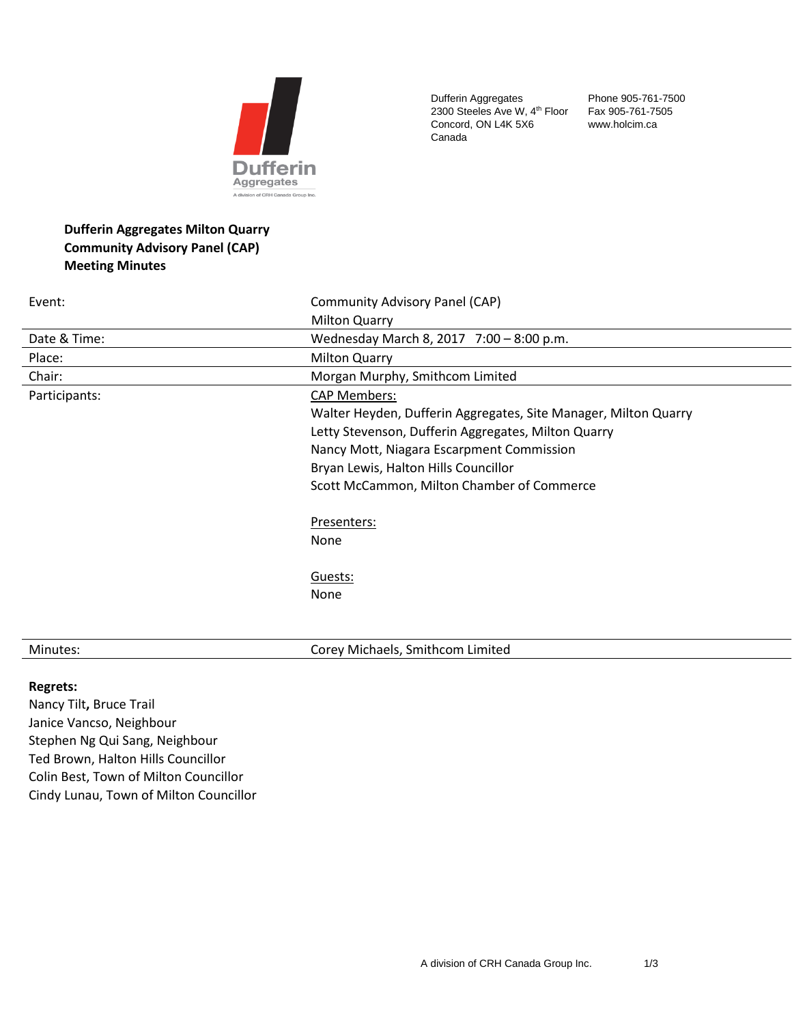

Dufferin Aggregates 2300 Steeles Ave W, 4<sup>th</sup> Floor Concord, ON L4K 5X6 Canada

Phone 905-761-7500 Fax 905-761-7505 www.holcim.ca

# **Dufferin Aggregates Milton Quarry Community Advisory Panel (CAP) Meeting Minutes**

| Event:        | Community Advisory Panel (CAP)                                  |
|---------------|-----------------------------------------------------------------|
|               | <b>Milton Quarry</b>                                            |
| Date & Time:  | Wednesday March 8, 2017 7:00 - 8:00 p.m.                        |
| Place:        | <b>Milton Quarry</b>                                            |
| Chair:        | Morgan Murphy, Smithcom Limited                                 |
| Participants: | CAP Members:                                                    |
|               | Walter Heyden, Dufferin Aggregates, Site Manager, Milton Quarry |
|               | Letty Stevenson, Dufferin Aggregates, Milton Quarry             |
|               | Nancy Mott, Niagara Escarpment Commission                       |
|               | Bryan Lewis, Halton Hills Councillor                            |
|               | Scott McCammon, Milton Chamber of Commerce                      |
|               | Presenters:                                                     |
|               | None                                                            |
|               | Guests:                                                         |
|               | None                                                            |
|               |                                                                 |
|               |                                                                 |

Minutes: Corey Michaels, Smithcom Limited

#### **Regrets:**

Nancy Tilt**,** Bruce Trail Janice Vancso, Neighbour Stephen Ng Qui Sang, Neighbour Ted Brown, Halton Hills Councillor Colin Best, Town of Milton Councillor Cindy Lunau, Town of Milton Councillor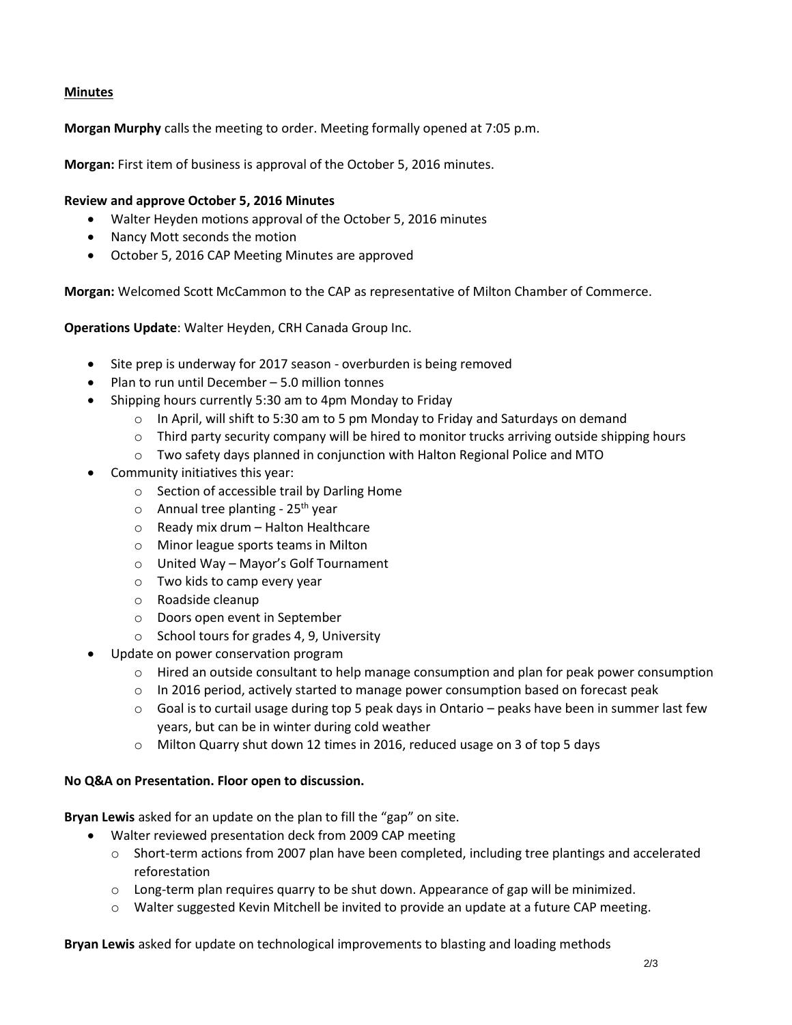## **Minutes**

**Morgan Murphy** calls the meeting to order. Meeting formally opened at 7:05 p.m.

**Morgan:** First item of business is approval of the October 5, 2016 minutes.

### **Review and approve October 5, 2016 Minutes**

- Walter Heyden motions approval of the October 5, 2016 minutes
- Nancy Mott seconds the motion
- October 5, 2016 CAP Meeting Minutes are approved

**Morgan:** Welcomed Scott McCammon to the CAP as representative of Milton Chamber of Commerce.

**Operations Update**: Walter Heyden, CRH Canada Group Inc.

- Site prep is underway for 2017 season overburden is being removed
- Plan to run until December 5.0 million tonnes
- Shipping hours currently 5:30 am to 4pm Monday to Friday
	- $\circ$  In April, will shift to 5:30 am to 5 pm Monday to Friday and Saturdays on demand
	- $\circ$  Third party security company will be hired to monitor trucks arriving outside shipping hours
	- $\circ$  Two safety days planned in conjunction with Halton Regional Police and MTO
- Community initiatives this year:
	- o Section of accessible trail by Darling Home
	- $\circ$  Annual tree planting 25<sup>th</sup> vear
	- o Ready mix drum Halton Healthcare
	- o Minor league sports teams in Milton
	- o United Way Mayor's Golf Tournament
	- o Two kids to camp every year
	- o Roadside cleanup
	- o Doors open event in September
	- o School tours for grades 4, 9, University
- Update on power conservation program
	- $\circ$  Hired an outside consultant to help manage consumption and plan for peak power consumption
	- $\circ$  In 2016 period, actively started to manage power consumption based on forecast peak
	- $\circ$  Goal is to curtail usage during top 5 peak days in Ontario peaks have been in summer last few years, but can be in winter during cold weather
	- o Milton Quarry shut down 12 times in 2016, reduced usage on 3 of top 5 days

### **No Q&A on Presentation. Floor open to discussion.**

**Bryan Lewis** asked for an update on the plan to fill the "gap" on site.

- Walter reviewed presentation deck from 2009 CAP meeting
	- $\circ$  Short-term actions from 2007 plan have been completed, including tree plantings and accelerated reforestation
	- $\circ$  Long-term plan requires quarry to be shut down. Appearance of gap will be minimized.
	- o Walter suggested Kevin Mitchell be invited to provide an update at a future CAP meeting.

**Bryan Lewis** asked for update on technological improvements to blasting and loading methods